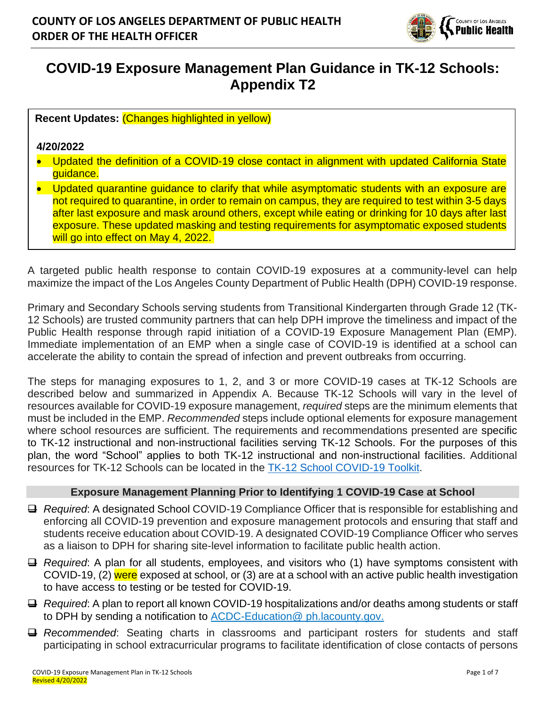

# **COVID-19 Exposure Management Plan Guidance in TK-12 Schools: Appendix T2**

**Recent Updates:** (Changes highlighted in yellow)

#### **4/20/2022**

- Updated the definition of a COVID-19 close contact in alignment with updated California State auidance.
- Updated quarantine quidance to clarify that while asymptomatic students with an exposure are not required to quarantine, in order to remain on campus, they are required to test within 3-5 days after last exposure and mask around others, except while eating or drinking for 10 days after last exposure. These updated masking and testing requirements for asymptomatic exposed students will go into effect on May 4, 2022.

A targeted public health response to contain COVID-19 exposures at a community-level can help maximize the impact of the Los Angeles County Department of Public Health (DPH) COVID-19 response.

Primary and Secondary Schools serving students from Transitional Kindergarten through Grade 12 (TK-12 Schools) are trusted community partners that can help DPH improve the timeliness and impact of the Public Health response through rapid initiation of a COVID-19 Exposure Management Plan (EMP). Immediate implementation of an EMP when a single case of COVID-19 is identified at a school can accelerate the ability to contain the spread of infection and prevent outbreaks from occurring.

The steps for managing exposures to 1, 2, and 3 or more COVID-19 cases at TK-12 Schools are described below and summarized in Appendix A. Because TK-12 Schools will vary in the level of resources available for COVID-19 exposure management, *required* steps are the minimum elements that must be included in the EMP. *Recommended* steps include optional elements for exposure management where school resources are sufficient. The requirements and recommendations presented are specific to TK-12 instructional and non-instructional facilities serving TK-12 Schools. For the purposes of this plan, the word "School" applies to both TK-12 instructional and non-instructional facilities. Additional resources for TK-12 Schools can be located in the [TK-12 School COVID-19 Toolkit.](http://ph.lacounty.gov/acd/ncorona2019/EducationToolkit/TK12/)

#### **Exposure Management Planning Prior to Identifying 1 COVID-19 Case at School**

- ❑ *Required*: A designated School COVID-19 Compliance Officer that is responsible for establishing and enforcing all COVID-19 prevention and exposure management protocols and ensuring that staff and students receive education about COVID-19. A designated COVID-19 Compliance Officer who serves as a liaison to DPH for sharing site-level information to facilitate public health action.
- ❑ *Required*: A plan for all students, employees, and visitors who (1) have symptoms consistent with COVID-19, (2) were exposed at school, or (3) are at a school with an active public health investigation to have access to testing or be tested for COVID-19.
- ❑ *Required*: A plan to report all known COVID-19 hospitalizations and/or deaths among students or staff to DPH by sending a notification to **ACDC-Education** @ ph.lacounty.gov.
- ❑ *Recommended*: Seating charts in classrooms and participant rosters for students and staff participating in school extracurricular programs to facilitate identification of close contacts of persons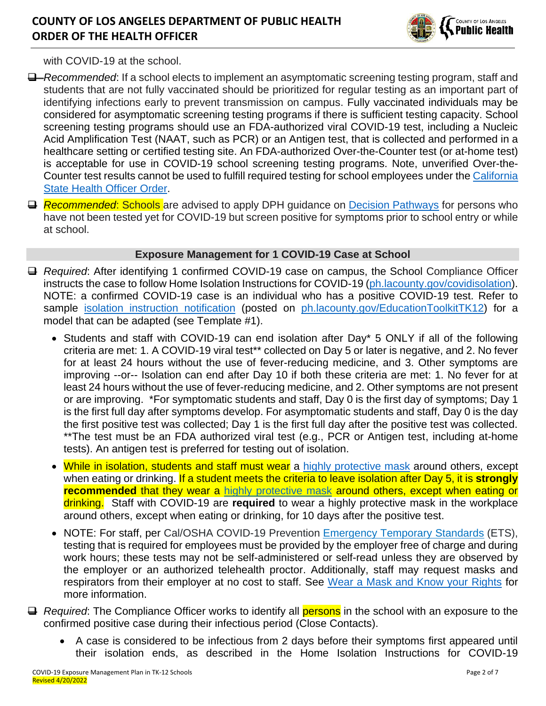## **COUNTY OF LOS ANGELES DEPARTMENT OF PUBLIC HEALTH ORDER OF THE HEALTH OFFICER**



with COVID-19 at the school.

- ❑ *Recommended*: If a school elects to implement an asymptomatic screening testing program, staff and students that are not fully vaccinated should be prioritized for regular testing as an important part of identifying infections early to prevent transmission on campus. Fully vaccinated individuals may be considered for asymptomatic screening testing programs if there is sufficient testing capacity. School screening testing programs should use an FDA-authorized viral COVID-19 test, including a Nucleic Acid Amplification Test (NAAT, such as PCR) or an Antigen test, that is collected and performed in a healthcare setting or certified testing site. An FDA-authorized Over-the-Counter test (or at-home test) is acceptable for use in COVID-19 school screening testing programs. Note, unverified Over-the-Counter test results cannot be used to fulfill required testing for school employees under the California [State Health Officer Order.](https://www.cdph.ca.gov/Programs/CID/DCDC/Pages/COVID-19/Order-of-the-State-Public-Health-Officer-Vaccine-Verification-for-Workers-in-Schools.aspx)
- ❑ *Recommended*: Schools are advised to apply DPH guidance on [Decision Pathways](http://publichealth.lacounty.gov/media/Coronavirus/docs/education/ScreeningEducationSettings.pdf) for persons who have not been tested yet for COVID-19 but screen positive for symptoms prior to school entry or while at school.

### **Exposure Management for 1 COVID-19 Case at School**

- ❑ *Required*: After identifying 1 confirmed COVID-19 case on campus, the School Compliance Officer instructs the case to follow Home Isolation Instructions for COVID-19 [\(ph.lacounty.gov/covidisolation\)](http://publichealth.lacounty.gov/acd/ncorona2019/covidisolation/). NOTE: a confirmed COVID-19 case is an individual who has a positive COVID-19 test. Refer to sample [isolation instruction notification](http://publichealth.lacounty.gov/acd/Diseases/EpiForms/SampleSchoolIsolationandExposureNotificationLetters.docx) (posted on [ph.lacounty.gov/EducationToolkitTK12\)](http://ph.lacounty.gov/acd/ncorona2019/EducationToolkit/tk12/) for a model that can be adapted (see Template #1).
	- Students and staff with COVID-19 can end isolation after Day\* 5 ONLY if all of the following criteria are met: 1. A COVID-19 viral test\*\* collected on Day 5 or later is negative, and 2. No fever for at least 24 hours without the use of fever-reducing medicine, and 3. Other symptoms are improving --or-- Isolation can end after Day 10 if both these criteria are met: 1. No fever for at least 24 hours without the use of fever-reducing medicine, and 2. Other symptoms are not present or are improving. \*For symptomatic students and staff, Day 0 is the first day of symptoms; Day 1 is the first full day after symptoms develop. For asymptomatic students and staff, Day 0 is the day the first positive test was collected; Day 1 is the first full day after the positive test was collected. \*\*The test must be an FDA authorized viral test (e.g., PCR or Antigen test, including at-home tests). An antigen test is preferred for testing out of isolation.
	- While in isolation, students and staff must wear a [highly protective mask](http://publichealth.lacounty.gov/acd/ncorona2019/masks/#kindofmask) around others, except when eating or drinking. If a student meets the criteria to leave isolation after Day 5, it is **strongly recommended** that they wear a [highly protective mask](http://publichealth.lacounty.gov/acd/ncorona2019/masks/#kindofmask) around others, except when eating or drinking. Staff with COVID-19 are **required** to wear a highly protective mask in the workplace around others, except when eating or drinking, for 10 days after the positive test.
	- NOTE: For staff, per Cal/OSHA COVID-19 Prevention [Emergency Temporary Standards](https://www.dir.ca.gov/dosh/coronavirus/ETS.html) (ETS), testing that is required for employees must be provided by the employer free of charge and during work hours; these tests may not be self-administered or self-read unless they are observed by the employer or an authorized telehealth proctor. Additionally, staff may request masks and respirators from their employer at no cost to staff. See [Wear a Mask and Know your Rights](http://www.publichealth.lacounty.gov/media/Coronavirus/docs/business/UpgradeMaskRequirement.pdf) for more information.
- ❑ *Required*: The Compliance Officer works to identify all persons in the school with an exposure to the confirmed positive case during their infectious period (Close Contacts).
	- A case is considered to be infectious from 2 days before their symptoms first appeared until their isolation ends, as described in the Home Isolation Instructions for COVID-19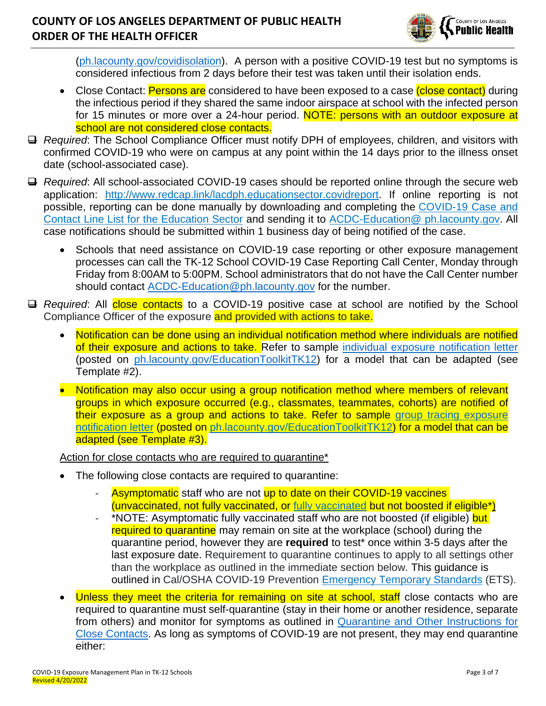## **COUNTY OF LOS ANGELES DEPARTMENT OF PUBLIC HEALTH ORDER OF THE HEALTH OFFICER**



[\(ph.lacounty.gov/covidisolation\)](http://publichealth.lacounty.gov/acd/ncorona2019/covidisolation/). A person with a positive COVID-19 test but no symptoms is considered infectious from 2 days before their test was taken until their isolation ends.

- Close Contact: Persons are considered to have been exposed to a case (close contact) during the infectious period if they shared the same indoor airspace at school with the infected person for 15 minutes or more over a 24-hour period. NOTE: persons with an outdoor exposure at school are not considered close contacts.
- ❑ *Required*: The School Compliance Officer must notify DPH of employees, children, and visitors with confirmed COVID-19 who were on campus at any point within the 14 days prior to the illness onset date (school-associated case).
- ❑ *Required*: All school-associated COVID-19 cases should be reported online through the secure web application: [http://www.redcap.link/lacdph.educationsector.covidreport.](http://www.redcap.link/lacdph.educationsector.covidreport) If online reporting is not possible, reporting can be done manually by downloading and completing the [COVID-19 Case and](http://publichealth.lacounty.gov/acd/Diseases/EpiForms/COVID_OBlinelist_Education_Sector.xlsm)  [Contact Line List for the Education Sector](http://publichealth.lacounty.gov/acd/Diseases/EpiForms/COVID_OBlinelist_Education_Sector.xlsm) and sending it to [ACDC-Education@ ph.lacounty.gov.](mailto:ACDC-Education@ph.lacounty.gov) All case notifications should be submitted within 1 business day of being notified of the case.
	- Schools that need assistance on COVID-19 case reporting or other exposure management processes can call the TK-12 School COVID-19 Case Reporting Call Center, Monday through Friday from 8:00AM to 5:00PM. School administrators that do not have the Call Center number should contact [ACDC-Education@ph.lacounty.gov](mailto:ACDC-Education@ph.lacounty.gov) for the number.
- ❑ *Required*: All close contacts to a COVID-19 positive case at school are notified by the School Compliance Officer of the exposure and provided with actions to take.
	- Notification can be done using an individual notification method where individuals are notified of their exposure and actions to take. Refer to sample [individual exposure notification letter](http://publichealth.lacounty.gov/acd/Diseases/EpiForms/SampleSchoolIsolationandExposureNotificationLetters.docx) (posted on [ph.lacounty.gov/EducationToolkitTK12\)](http://ph.lacounty.gov/acd/ncorona2019/EducationToolkit/tk12/) for a model that can be adapted (see Template #2).
	- Notification may also occur using a group notification method where members of relevant groups in which exposure occurred (e.g., classmates, teammates, cohorts) are notified of their exposure as a group and actions to take. Refer to sample [group tracing exposure](http://publichealth.lacounty.gov/acd/Diseases/EpiForms/SampleSchoolIsolationandExposureNotificationLetters.docx)  [notification letter](http://publichealth.lacounty.gov/acd/Diseases/EpiForms/SampleSchoolIsolationandExposureNotificationLetters.docx) (posted on [ph.lacounty.gov/EducationToolkitTK12\)](http://ph.lacounty.gov/acd/ncorona2019/EducationToolkit/tk12/) for a model that can be adapted (see Template #3).

Action for close contacts who are required to quarantine\*

- The following close contacts are required to quarantine:
	- Asymptomatic staff who are not up to date on their COVID-19 vaccines (unvaccinated, not fully vaccinated, or [fully vaccinated](http://publichealth.lacounty.gov/acd/ncorona2019/vaccine/fullyvaccinated/) but not boosted if eligible\*)
	- \*NOTE: Asymptomatic fully vaccinated staff who are not boosted (if eligible) but required to quarantine may remain on site at the workplace (school) during the quarantine period, however they are **required** to test\* once within 3-5 days after the last exposure date. Requirement to quarantine continues to apply to all settings other than the workplace as outlined in the immediate section below. This guidance is outlined in Cal/OSHA COVID-19 Prevention [Emergency Temporary Standards](https://www.dir.ca.gov/dosh/coronavirus/ETS.html) (ETS).
- Unless they meet the criteria for remaining on site at school, staff close contacts who are required to quarantine must self-quarantine (stay in their home or another residence, separate from others) and monitor for symptoms as outlined in [Quarantine and Other Instructions for](http://publichealth.lacounty.gov/acd/ncorona2019/covidquarantine/)  [Close Contacts.](http://publichealth.lacounty.gov/acd/ncorona2019/covidquarantine/) As long as symptoms of COVID-19 are not present, they may end quarantine either: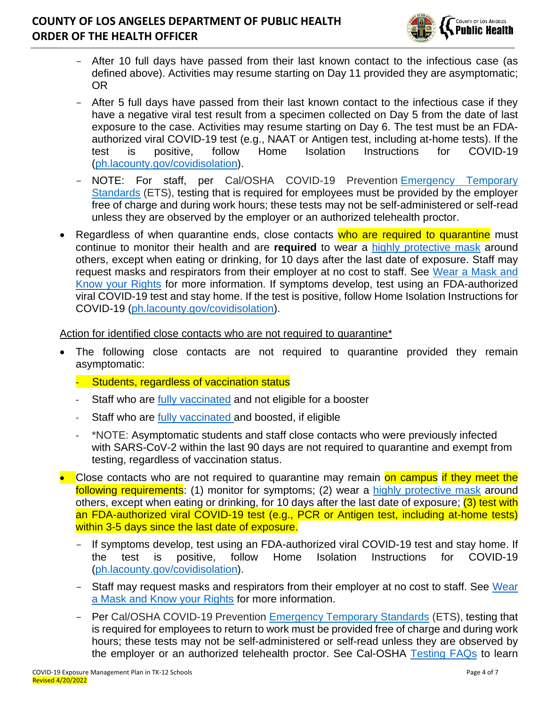## **COUNTY OF LOS ANGELES DEPARTMENT OF PUBLIC HEALTH ORDER OF THE HEALTH OFFICER**



- After 10 full days have passed from their last known contact to the infectious case (as defined above). Activities may resume starting on Day 11 provided they are asymptomatic; OR
- After 5 full days have passed from their last known contact to the infectious case if they have a negative viral test result from a specimen collected on Day 5 from the date of last exposure to the case. Activities may resume starting on Day 6. The test must be an FDAauthorized viral COVID-19 test (e.g., NAAT or Antigen test, including at-home tests). If the test is positive, follow Home Isolation Instructions for COVID-19 [\(ph.lacounty.gov/covidisolation\)](http://publichealth.lacounty.gov/acd/ncorona2019/covidisolation/).
- NOTE: For staff, per Cal/OSHA COVID-19 Prevention [Emergency Temporary](https://www.dir.ca.gov/dosh/coronavirus/ETS.html)  [Standards](https://www.dir.ca.gov/dosh/coronavirus/ETS.html) (ETS), testing that is required for employees must be provided by the employer free of charge and during work hours; these tests may not be self-administered or self-read unless they are observed by the employer or an authorized telehealth proctor.
- Regardless of when quarantine ends, close contacts who are required to quarantine must continue to monitor their health and are **required** to wear a [highly protective mask](http://publichealth.lacounty.gov/acd/ncorona2019/masks/#kindofmask) around others, except when eating or drinking, for 10 days after the last date of exposure. Staff may request masks and respirators from their employer at no cost to staff. See [Wear a Mask and](http://www.publichealth.lacounty.gov/media/Coronavirus/docs/business/UpgradeMaskRequirement.pdf)  [Know your Rights](http://www.publichealth.lacounty.gov/media/Coronavirus/docs/business/UpgradeMaskRequirement.pdf) for more information. If symptoms develop, test using an FDA-authorized viral COVID-19 test and stay home. If the test is positive, follow Home Isolation Instructions for COVID-19 [\(ph.lacounty.gov/covidisolation\)](http://publichealth.lacounty.gov/acd/ncorona2019/covidisolation/).

Action for identified close contacts who are not required to quarantine\*

- The following close contacts are not required to quarantine provided they remain asymptomatic:
	- Students, regardless of vaccination status
	- Staff who are [fully vaccinated](http://publichealth.lacounty.gov/acd/ncorona2019/vaccine/fullyvaccinated/) and not eligible for a booster
	- Staff who are [fully vaccinated](http://publichealth.lacounty.gov/acd/ncorona2019/vaccine/fullyvaccinated/) and boosted, if eligible
	- \*NOTE: Asymptomatic students and staff close contacts who were previously infected with SARS-CoV-2 within the last 90 days are not required to quarantine and exempt from testing, regardless of vaccination status.
- Close contacts who are not required to quarantine may remain on campus if they meet the following requirements: (1) monitor for symptoms; (2) wear a [highly protective mask](http://publichealth.lacounty.gov/acd/ncorona2019/masks/#kindofmask) around others, except when eating or drinking, for 10 days after the last date of exposure; (3) test with an FDA-authorized viral COVID-19 test (e.g., PCR or Antigen test, including at-home tests) within 3-5 days since the last date of exposure.
	- If symptoms develop, test using an FDA-authorized viral COVID-19 test and stay home. If the test is positive, follow Home Isolation Instructions for COVID-19 [\(ph.lacounty.gov/covidisolation\)](http://publichealth.lacounty.gov/acd/ncorona2019/covidisolation/).
	- Staff may request masks and respirators from their employer at no cost to staff. See Wear [a Mask and Know your Rights](http://www.publichealth.lacounty.gov/media/Coronavirus/docs/business/UpgradeMaskRequirement.pdf) for more information.
	- Per Cal/OSHA COVID-19 Prevention [Emergency Temporary Standards](https://www.dir.ca.gov/dosh/coronavirus/ETS.html) (ETS), testing that is required for employees to return to work must be provided free of charge and during work hours; these tests may not be self-administered or self-read unless they are observed by the employer or an authorized telehealth proctor. See Cal-OSHA [Testing FAQs](https://www.dir.ca.gov/dosh/coronavirus/covid19faqs.html#testing) to learn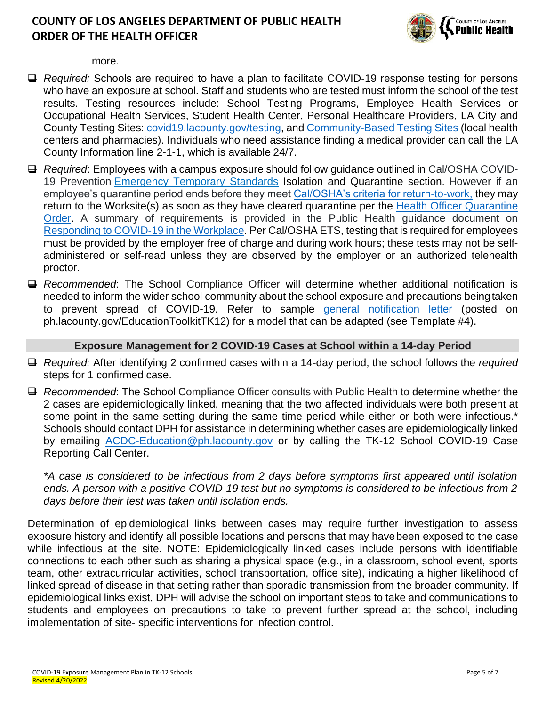

more.

- ❑ *Required:* Schools are required to have a plan to facilitate COVID-19 response testing for persons who have an exposure at school. Staff and students who are tested must inform the school of the test results. Testing resources include: School Testing Programs, Employee Health Services or Occupational Health Services, Student Health Center, Personal Healthcare Providers, LA City and County Testing Sites: [covid19.lacounty.gov/testing,](https://covid19.lacounty.gov/testing/) and [Community-Based Testing Sites](https://www.hhs.gov/coronavirus/community-based-testing-sites/index.html) (local health centers and pharmacies). Individuals who need assistance finding a medical provider can call the LA County Information line 2-1-1, which is available 24/7.
- ❑ *Required*: Employees with a campus exposure should follow guidance outlined in Cal/OSHA COVID-19 Prevention [Emergency Temporary Standards](https://www.dir.ca.gov/dosh/coronavirus/ETS.html) Isolation and Quarantine section. However if an employee's quarantine period ends before they meet [Cal/OSHA's criteria for return-to-work,](https://dir.ca.gov/dosh/coronavirus/COVID19FAQs.html#outbreaks) they may return to the Worksite(s) as soon as they have cleared quarantine per the Health Officer Quarantine [Order.](http://publichealth.lacounty.gov/media/coronavirus/docs/HOO/HOO_Coronavirus_Blanket_Quarantine.pdf) A summary of requirements is provided in the Public Health guidance document on [Responding to COVID-19 in the Workplace.](http://publichealth.lacounty.gov/acd/ncorona2019/workplaceresponse/) Per Cal/OSHA ETS, testing that is required for employees must be provided by the employer free of charge and during work hours; these tests may not be selfadministered or self-read unless they are observed by the employer or an authorized telehealth proctor.
- ❑ *Recommended*: The School Compliance Officer will determine whether additional notification is needed to inform the wider school community about the school exposure and precautions beingtaken to prevent spread of COVID-19. Refer to sample [general notification](http://publichealth.lacounty.gov/acd/Diseases/EpiForms/SampleSchoolIsolationandExposureNotificationLetters.docx) letter (posted on ph.lacounty.gov/EducationToolkitTK12) for a model that can be adapted (see Template #4).

#### **Exposure Management for 2 COVID-19 Cases at School within a 14-day Period**

- ❑ *Required:* After identifying 2 confirmed cases within a 14-day period, the school follows the *required*  steps for 1 confirmed case.
- ❑ *Recommended*: The School Compliance Officer consults with Public Health to determine whether the 2 cases are epidemiologically linked, meaning that the two affected individuals were both present at some point in the same setting during the same time period while either or both were infectious.\* Schools should contact DPH for assistance in determining whether cases are epidemiologically linked by emailing **[ACDC-Education@ph.lacounty.gov](mailto:ACDC-Education@ph.lacounty.gov)** or by calling the TK-12 School COVID-19 Case Reporting Call Center.

*\*A case is considered to be infectious from 2 days before symptoms first appeared until isolation ends. A person with a positive COVID-19 test but no symptoms is considered to be infectious from 2 days before their test was taken until isolation ends.*

Determination of epidemiological links between cases may require further investigation to assess exposure history and identify all possible locations and persons that may havebeen exposed to the case while infectious at the site. NOTE: Epidemiologically linked cases include persons with identifiable connections to each other such as sharing a physical space (e.g., in a classroom, school event, sports team, other extracurricular activities, school transportation, office site), indicating a higher likelihood of linked spread of disease in that setting rather than sporadic transmission from the broader community. If epidemiological links exist, DPH will advise the school on important steps to take and communications to students and employees on precautions to take to prevent further spread at the school, including implementation of site- specific interventions for infection control.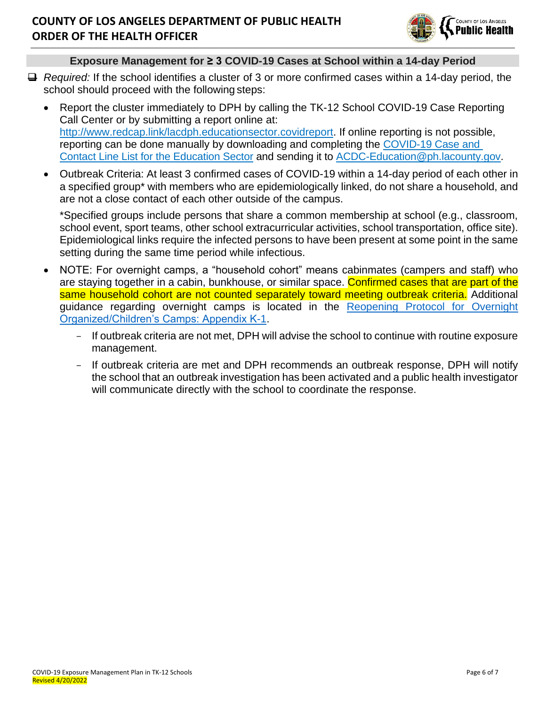

### **Exposure Management for ≥ 3 COVID-19 Cases at School within a 14-day Period**

- ❑ *Required:* If the school identifies a cluster of 3 or more confirmed cases within a 14-day period, the school should proceed with the following steps:
	- Report the cluster immediately to DPH by calling the TK-12 School COVID-19 Case Reporting Call Center or by submitting a report online at: [http://www.redcap.link/lacdph.educationsector.covidreport.](http://www.redcap.link/lacdph.educationsector.covidreport) If online reporting is not possible, reporting can be done manually by downloading and completing the [COVID-19 Case and](http://publichealth.lacounty.gov/acd/Diseases/EpiForms/COVID_OBlinelist_Education_Sector.xlsm)  [Contact Line List for the Education Sector](http://publichealth.lacounty.gov/acd/Diseases/EpiForms/COVID_OBlinelist_Education_Sector.xlsm) and sending it to [ACDC-Education@ph.lacounty.gov.](mailto:ACDC-Education@ph.lacounty.gov)
	- Outbreak Criteria: At least 3 confirmed cases of COVID-19 within a 14-day period of each other in a specified group\* with members who are epidemiologically linked, do not share a household, and are not a close contact of each other outside of the campus.

\*Specified groups include persons that share a common membership at school (e.g., classroom, school event, sport teams, other school extracurricular activities, school transportation, office site). Epidemiological links require the infected persons to have been present at some point in the same setting during the same time period while infectious.

- NOTE: For overnight camps, a "household cohort" means cabinmates (campers and staff) who are staying together in a cabin, bunkhouse, or similar space. Confirmed cases that are part of the same household cohort are not counted separately toward meeting outbreak criteria. Additional guidance regarding overnight camps is located in the [Reopening Protocol for Overnight](http://publichealth.lacounty.gov/media/coronavirus/docs/protocols/Reopening_OvernightCamps.pdf)  [Organized/Children's Camps: Appendix K-1.](http://publichealth.lacounty.gov/media/coronavirus/docs/protocols/Reopening_OvernightCamps.pdf)
	- If outbreak criteria are not met, DPH will advise the school to continue with routine exposure management.
	- If outbreak criteria are met and DPH recommends an outbreak response, DPH will notify the school that an outbreak investigation has been activated and a public health investigator will communicate directly with the school to coordinate the response.